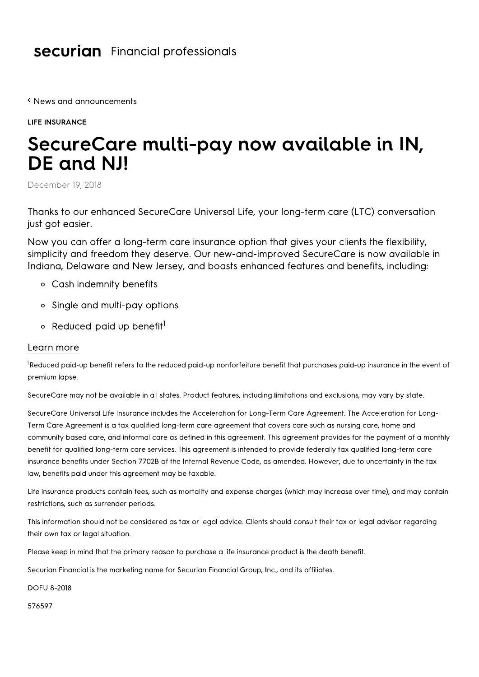## **securian** Financial professionals

K News and announcements

**LIFE INSURANCE** 

## SecureCare multi-pay now available in IN, DE and NJ!

December 19, 2018

Thanks to our enhanced SecureCare Universal Life, your long-term care (LTC) conversation just got easier.

Now you can offer a long-term care insurance option that gives your clients the flexibility, simplicity and freedom they deserve. Our new-and-improved SecureCare is now available in Indiana, Delaware and New Jersey, and boasts enhanced features and benefits, including:

- o Cash indemnity benefits
- Single and multi-pay options
- Reduced-paid up benefit<sup>1</sup>

## Learn more

<sup>1</sup>Reduced paid-up benefit refers to the reduced paid-up nonforfeiture benefit that purchases paid-up insurance in the event of premium lapse.

SecureCare may not be available in all states. Product features, including limitations and exclusions, may vary by state.

SecureCare Universal Life Insurance includes the Acceleration for Long-Term Care Agreement. The Acceleration for Long-Term Care Agreement is a tax qualified long-term care agreement that covers care such as nursing care, home and community based care, and informal care as defined in this agreement. This agreement provides for the payment of a monthly benefit for qualified long-term care services. This agreement is intended to provide federally tax qualified long-term care insurance benefits under Section 7702B of the Internal Revenue Code, as amended. However, due to uncertainty in the tax law, benefits paid under this agreement may be taxable.

Life insurance products contain fees, such as mortality and expense charges (which may increase over time), and may contain restrictions, such as surrender periods.

This information should not be considered as tax or legal advice. Clients should consult their tax or legal advisor regarding their own tax or legal situation.

Please keep in mind that the primary reason to purchase a life insurance product is the death benefit.

Securian Financial is the marketing name for Securian Financial Group, Inc., and its affiliates.

**DOFU 8-2018** 

576597